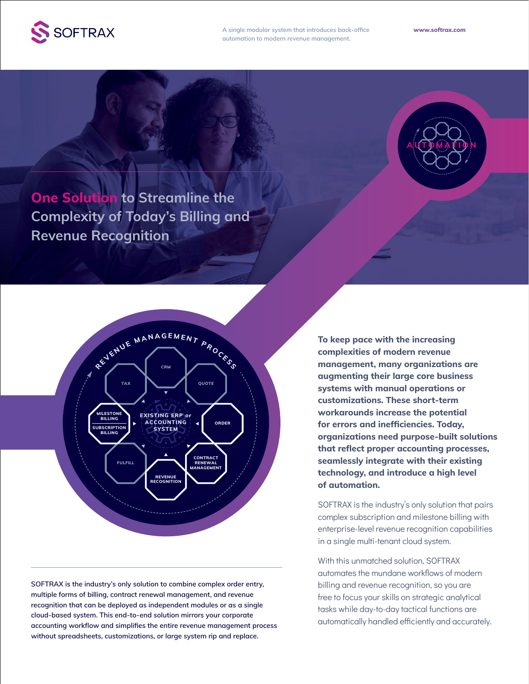

**A single modular system that introduces back-office automation to modern revenue management.** 



**One Solution to Streamline the Complexity of Today's Billing and Revenue Recognition**



**SOFTRAX is the industry's only solution to combine complex order entry, multiple forms of billing, contract renewal management, and revenue recognition that can be deployed as independent modules or as a single cloud-based system. This end-to-end solution mirrors your corporate accounting workflow and simplifies the entire revenue management process without spreadsheets, customizations, or large system rip and replace.**

**To keep pace with the increasing complexities of modern revenue management, many organizations are augmenting their large core business systems with manual operations or customizations. These short-term workarounds increase the potential for errors and inefficiencies. Today, organizations need purpose-built solutions that reflect proper accounting processes, seamlessly integrate with their existing technology, and introduce a high level of automation.**

SOFTRAX is the industry's only solution that pairs complex subscription and milestone billing with enterprise-level revenue recognition capabilities in a single multi-tenant cloud system.

With this unmatched solution, SOFTRAX automates the mundane workflows of modern billing and revenue recognition, so you are free to focus your skills on strategic analytical tasks while day-to-day tactical functions are automatically handled efficiently and accurately.